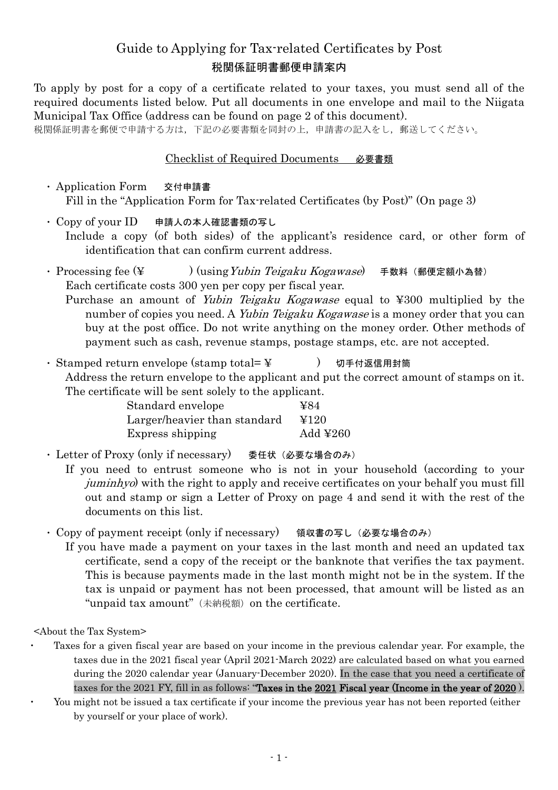# Guide to Applying for Tax-related Certificates by Post 税関係証明書郵便申請案内

To apply by post for a copy of a certificate related to your taxes, you must send all of the required documents listed below. Put all documents in one envelope and mail to the Niigata Municipal Tax Office (address can be found on page 2 of this document).

税関係証明書を郵便で申請する方は,下記の必要書類を同封の上,申請書の記入をし,郵送してください。

#### Checklist of Required Documents 必要書類

・ Application Form 交付申請書 Fill in the "Application Form for Tax-related Certificates (by Post)" (On page 3)

- ・ Copy of your ID 申請人の本人確認書類の写し Include a copy (of both sides) of the applicant's residence card, or other form of identification that can confirm current address.
- · Processing fee (¥ ) (using Yubin Teigaku Kogawase) 手数料 (郵便定額小為替) Each certificate costs 300 yen per copy per fiscal year.
	- Purchase an amount of *Yubin Teigaku Kogawase* equal to ¥300 multiplied by the number of copies you need. A *Yubin Teigaku Kogawase* is a money order that you can buy at the post office. Do not write anything on the money order. Other methods of payment such as cash, revenue stamps, postage stamps, etc. are not accepted.
- ・ Stamped return envelope (stamp total= ¥ キック り手付返信用封筒 Address the return envelope to the applicant and put the correct amount of stamps on it. The certificate will be sent solely to the applicant.

| Standard envelope            | ¥84                  |
|------------------------------|----------------------|
| Larger/heavier than standard | ¥120                 |
| Express shipping             | Add $\text{\yen}260$ |

- ・ Letter of Proxy (only if necessary) 委任状(必要な場合のみ)
	- If you need to entrust someone who is not in your household (according to your juminhyo) with the right to apply and receive certificates on your behalf you must fill out and stamp or sign a Letter of Proxy on page 4 and send it with the rest of the documents on this list.
- ・ Copy of payment receipt (only if necessary) 領収書の写し(必要な場合のみ)
	- If you have made a payment on your taxes in the last month and need an updated tax certificate, send a copy of the receipt or the banknote that verifies the tax payment. This is because payments made in the last month might not be in the system. If the tax is unpaid or payment has not been processed, that amount will be listed as an "unpaid tax amount" (未納税額) on the certificate.

<About the Tax System>

- Taxes for a given fiscal year are based on your income in the previous calendar year. For example, the taxes due in the 2021 fiscal year (April 2021-March 2022) are calculated based on what you earned during the 2020 calendar year (January-December 2020). In the case that you need a certificate of taxes for the 2021 FY, fill in as follows: "Taxes in the 2021 Fiscal year (Income in the year of 2020).
	- You might not be issued a tax certificate if your income the previous year has not been reported (either by yourself or your place of work).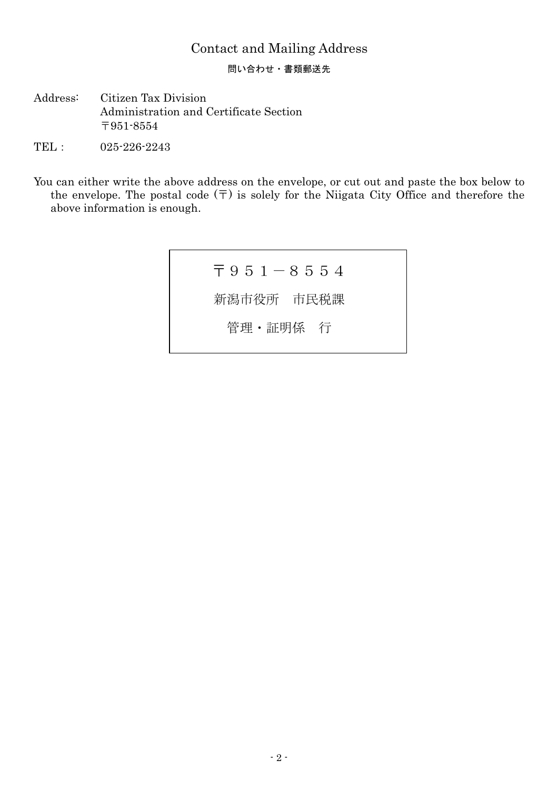## Contact and Mailing Address

問い合わせ・書類郵送先

- Address: Citizen Tax Division Administration and Certificate Section 〒951-8554
- TEL: 025-226-2243
- You can either write the above address on the envelope, or cut out and paste the box below to the envelope. The postal code  $(\overline{\tau})$  is solely for the Niigata City Office and therefore the above information is enough.

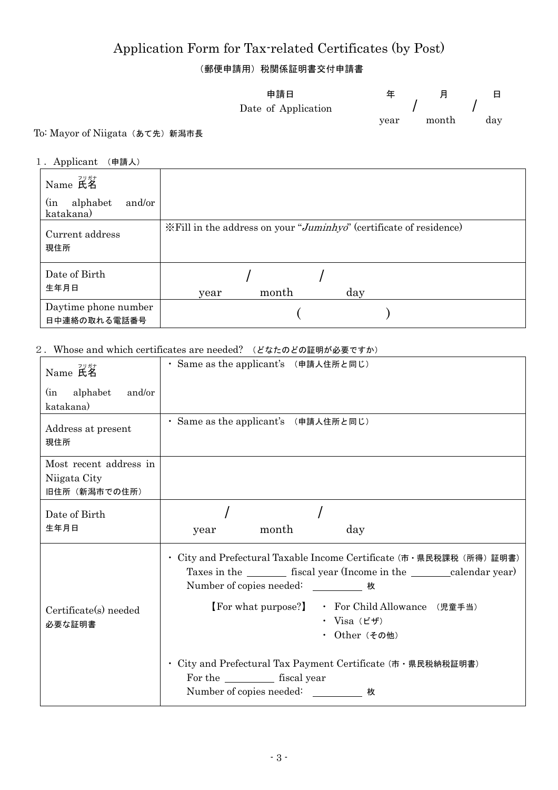# Application Form for Tax-related Certificates (by Post)

(郵便申請用)税関係証明書交付申請書

|            | 申請日                 |      |       |     |
|------------|---------------------|------|-------|-----|
|            | Date of Application |      |       |     |
|            |                     | year | month | day |
| $+$ $   -$ |                     |      |       |     |

### To: Mayor of Niigata (あて先) 新潟市長

#### 1.Applicant (申請人)

| Name 氏名<br>alphabet<br>$\sin$<br>and/or<br>katakana) |                                                                    |
|------------------------------------------------------|--------------------------------------------------------------------|
| Current address<br>現住所                               | *Fill in the address on your "Juminhyo" (certificate of residence) |
| Date of Birth<br>生年月日                                | day<br>month<br>year                                               |
| Daytime phone number<br>日中連絡の取れる電話番号                 |                                                                    |

#### 2.Whose and which certificates are needed? (どなたのどの証明が必要ですか)

| フリガナ<br>Name 氏名                                         | · Same as the applicant's (申請人住所と同じ)                                                                                                                                                            |
|---------------------------------------------------------|-------------------------------------------------------------------------------------------------------------------------------------------------------------------------------------------------|
| alphabet<br>and/or<br>(in<br>katakana)                  |                                                                                                                                                                                                 |
| Address at present<br>現住所                               | · Same as the applicant's (申請人住所と同じ)                                                                                                                                                            |
| Most recent address in<br>Niigata City<br>旧住所 (新潟市での住所) |                                                                                                                                                                                                 |
| Date of Birth<br>生年月日                                   | month<br>day<br>year                                                                                                                                                                            |
|                                                         | ・ City and Prefectural Taxable Income Certificate (市・県民税課税(所得)証明書)<br>Taxes in the ___________ fiscal year (Income in the ___________ calendar year)<br>Number of copies needed: ____________ 枚 |
| Certificate(s) needed<br>必要な証明書                         | 【For what purpose?】 • For Child Allowance (児童手当)<br>・ Visa $(\vec{r}, \vec{r})$<br>・ Other (その他)                                                                                                |
|                                                         | ・ City and Prefectural Tax Payment Certificate (市・県民税納税証明書)<br>For the ____________ fiscal year<br>Number of copies needed: ___________ 枚                                                       |